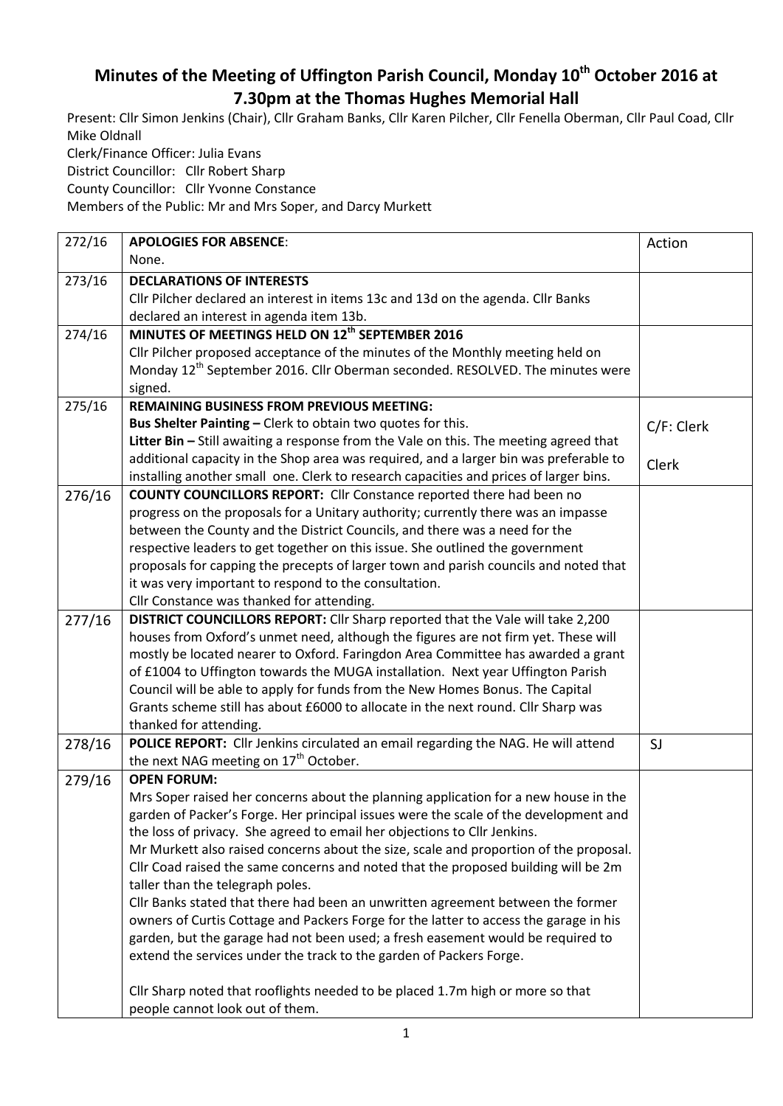## **Minutes of the Meeting of Uffington Parish Council, Monday 10th October 2016 at 7.30pm at the Thomas Hughes Memorial Hall**

Present: Cllr Simon Jenkins (Chair), Cllr Graham Banks, Cllr Karen Pilcher, Cllr Fenella Oberman, Cllr Paul Coad, Cllr Mike Oldnall Clerk/Finance Officer: Julia Evans

District Councillor: Cllr Robert Sharp

County Councillor: Cllr Yvonne Constance

Members of the Public: Mr and Mrs Soper, and Darcy Murkett

| 272/16 | <b>APOLOGIES FOR ABSENCE:</b>                                                             | Action     |
|--------|-------------------------------------------------------------------------------------------|------------|
|        | None.                                                                                     |            |
| 273/16 | <b>DECLARATIONS OF INTERESTS</b>                                                          |            |
|        | Cllr Pilcher declared an interest in items 13c and 13d on the agenda. Cllr Banks          |            |
|        | declared an interest in agenda item 13b.                                                  |            |
| 274/16 | MINUTES OF MEETINGS HELD ON 12 <sup>th</sup> SEPTEMBER 2016                               |            |
|        | Cllr Pilcher proposed acceptance of the minutes of the Monthly meeting held on            |            |
|        | Monday 12 <sup>th</sup> September 2016. Cllr Oberman seconded. RESOLVED. The minutes were |            |
|        | signed.                                                                                   |            |
| 275/16 | <b>REMAINING BUSINESS FROM PREVIOUS MEETING:</b>                                          |            |
|        | Bus Shelter Painting - Clerk to obtain two quotes for this.                               | C/F: Clerk |
|        | Litter Bin - Still awaiting a response from the Vale on this. The meeting agreed that     |            |
|        | additional capacity in the Shop area was required, and a larger bin was preferable to     | Clerk      |
|        | installing another small one. Clerk to research capacities and prices of larger bins.     |            |
| 276/16 | <b>COUNTY COUNCILLORS REPORT:</b> Cllr Constance reported there had been no               |            |
|        | progress on the proposals for a Unitary authority; currently there was an impasse         |            |
|        | between the County and the District Councils, and there was a need for the                |            |
|        | respective leaders to get together on this issue. She outlined the government             |            |
|        | proposals for capping the precepts of larger town and parish councils and noted that      |            |
|        | it was very important to respond to the consultation.                                     |            |
|        | Cllr Constance was thanked for attending.                                                 |            |
| 277/16 | DISTRICT COUNCILLORS REPORT: Cllr Sharp reported that the Vale will take 2,200            |            |
|        | houses from Oxford's unmet need, although the figures are not firm yet. These will        |            |
|        | mostly be located nearer to Oxford. Faringdon Area Committee has awarded a grant          |            |
|        | of £1004 to Uffington towards the MUGA installation. Next year Uffington Parish           |            |
|        | Council will be able to apply for funds from the New Homes Bonus. The Capital             |            |
|        | Grants scheme still has about £6000 to allocate in the next round. Cllr Sharp was         |            |
|        | thanked for attending.                                                                    |            |
| 278/16 | POLICE REPORT: Cllr Jenkins circulated an email regarding the NAG. He will attend         | SJ         |
|        | the next NAG meeting on 17 <sup>th</sup> October.                                         |            |
| 279/16 | <b>OPEN FORUM:</b>                                                                        |            |
|        | Mrs Soper raised her concerns about the planning application for a new house in the       |            |
|        | garden of Packer's Forge. Her principal issues were the scale of the development and      |            |
|        | the loss of privacy. She agreed to email her objections to Cllr Jenkins.                  |            |
|        | Mr Murkett also raised concerns about the size, scale and proportion of the proposal.     |            |
|        | Cllr Coad raised the same concerns and noted that the proposed building will be 2m        |            |
|        | taller than the telegraph poles.                                                          |            |
|        | Cllr Banks stated that there had been an unwritten agreement between the former           |            |
|        | owners of Curtis Cottage and Packers Forge for the latter to access the garage in his     |            |
|        | garden, but the garage had not been used; a fresh easement would be required to           |            |
|        | extend the services under the track to the garden of Packers Forge.                       |            |
|        |                                                                                           |            |
|        | Cllr Sharp noted that rooflights needed to be placed 1.7m high or more so that            |            |
|        | people cannot look out of them.                                                           |            |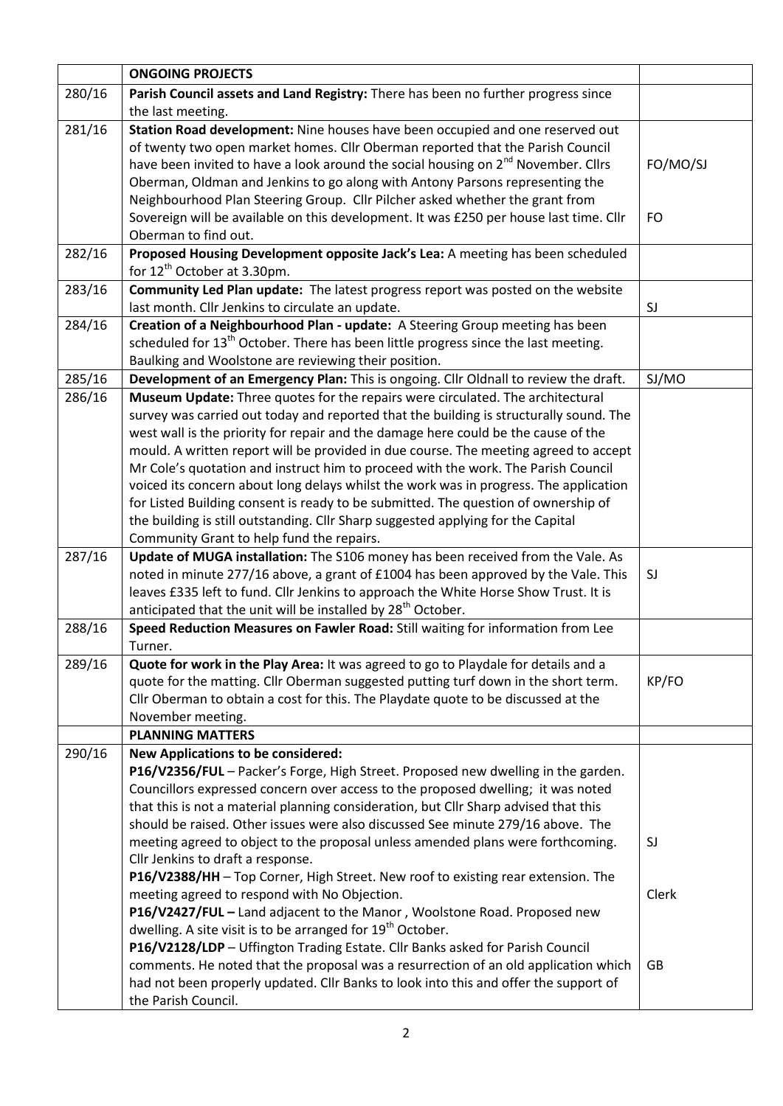|        | <b>ONGOING PROJECTS</b>                                                                                                                                               |           |
|--------|-----------------------------------------------------------------------------------------------------------------------------------------------------------------------|-----------|
| 280/16 | Parish Council assets and Land Registry: There has been no further progress since                                                                                     |           |
|        | the last meeting.                                                                                                                                                     |           |
| 281/16 | Station Road development: Nine houses have been occupied and one reserved out                                                                                         |           |
|        | of twenty two open market homes. Cllr Oberman reported that the Parish Council                                                                                        |           |
|        | have been invited to have a look around the social housing on 2 <sup>nd</sup> November. Cllrs                                                                         | FO/MO/SJ  |
|        | Oberman, Oldman and Jenkins to go along with Antony Parsons representing the                                                                                          |           |
|        | Neighbourhood Plan Steering Group. Cllr Pilcher asked whether the grant from                                                                                          |           |
|        | Sovereign will be available on this development. It was £250 per house last time. Cllr                                                                                | <b>FO</b> |
|        | Oberman to find out.                                                                                                                                                  |           |
| 282/16 | Proposed Housing Development opposite Jack's Lea: A meeting has been scheduled                                                                                        |           |
|        | for $12^{th}$ October at 3.30pm.                                                                                                                                      |           |
| 283/16 | Community Led Plan update: The latest progress report was posted on the website                                                                                       |           |
|        | last month. Cllr Jenkins to circulate an update.                                                                                                                      | SJ        |
| 284/16 | Creation of a Neighbourhood Plan - update: A Steering Group meeting has been                                                                                          |           |
|        | scheduled for 13 <sup>th</sup> October. There has been little progress since the last meeting.                                                                        |           |
|        | Baulking and Woolstone are reviewing their position.                                                                                                                  |           |
| 285/16 | Development of an Emergency Plan: This is ongoing. Cllr Oldnall to review the draft.                                                                                  | SJ/MO     |
| 286/16 | Museum Update: Three quotes for the repairs were circulated. The architectural                                                                                        |           |
|        | survey was carried out today and reported that the building is structurally sound. The                                                                                |           |
|        | west wall is the priority for repair and the damage here could be the cause of the                                                                                    |           |
|        | mould. A written report will be provided in due course. The meeting agreed to accept                                                                                  |           |
|        | Mr Cole's quotation and instruct him to proceed with the work. The Parish Council                                                                                     |           |
|        | voiced its concern about long delays whilst the work was in progress. The application                                                                                 |           |
|        | for Listed Building consent is ready to be submitted. The question of ownership of                                                                                    |           |
|        | the building is still outstanding. Cllr Sharp suggested applying for the Capital                                                                                      |           |
|        | Community Grant to help fund the repairs.                                                                                                                             |           |
| 287/16 | Update of MUGA installation: The S106 money has been received from the Vale. As<br>noted in minute 277/16 above, a grant of £1004 has been approved by the Vale. This | SJ        |
|        | leaves £335 left to fund. Cllr Jenkins to approach the White Horse Show Trust. It is                                                                                  |           |
|        | anticipated that the unit will be installed by 28 <sup>th</sup> October.                                                                                              |           |
| 288/16 | Speed Reduction Measures on Fawler Road: Still waiting for information from Lee                                                                                       |           |
|        | Turner.                                                                                                                                                               |           |
| 289/16 | Quote for work in the Play Area: It was agreed to go to Playdale for details and a                                                                                    |           |
|        | quote for the matting. Cllr Oberman suggested putting turf down in the short term.                                                                                    | KP/FO     |
|        | Cllr Oberman to obtain a cost for this. The Playdate quote to be discussed at the                                                                                     |           |
|        | November meeting.                                                                                                                                                     |           |
|        | <b>PLANNING MATTERS</b>                                                                                                                                               |           |
| 290/16 | <b>New Applications to be considered:</b>                                                                                                                             |           |
|        | P16/V2356/FUL - Packer's Forge, High Street. Proposed new dwelling in the garden.                                                                                     |           |
|        | Councillors expressed concern over access to the proposed dwelling; it was noted                                                                                      |           |
|        | that this is not a material planning consideration, but Cllr Sharp advised that this                                                                                  |           |
|        | should be raised. Other issues were also discussed See minute 279/16 above. The                                                                                       |           |
|        | meeting agreed to object to the proposal unless amended plans were forthcoming.                                                                                       | SJ        |
|        | Cllr Jenkins to draft a response.                                                                                                                                     |           |
|        | P16/V2388/HH - Top Corner, High Street. New roof to existing rear extension. The                                                                                      |           |
|        | meeting agreed to respond with No Objection.                                                                                                                          | Clerk     |
|        | P16/V2427/FUL - Land adjacent to the Manor, Woolstone Road. Proposed new                                                                                              |           |
|        | dwelling. A site visit is to be arranged for 19 <sup>th</sup> October.                                                                                                |           |
|        | P16/V2128/LDP - Uffington Trading Estate. Cllr Banks asked for Parish Council                                                                                         |           |
|        | comments. He noted that the proposal was a resurrection of an old application which                                                                                   | <b>GB</b> |
|        | had not been properly updated. Cllr Banks to look into this and offer the support of                                                                                  |           |
|        | the Parish Council.                                                                                                                                                   |           |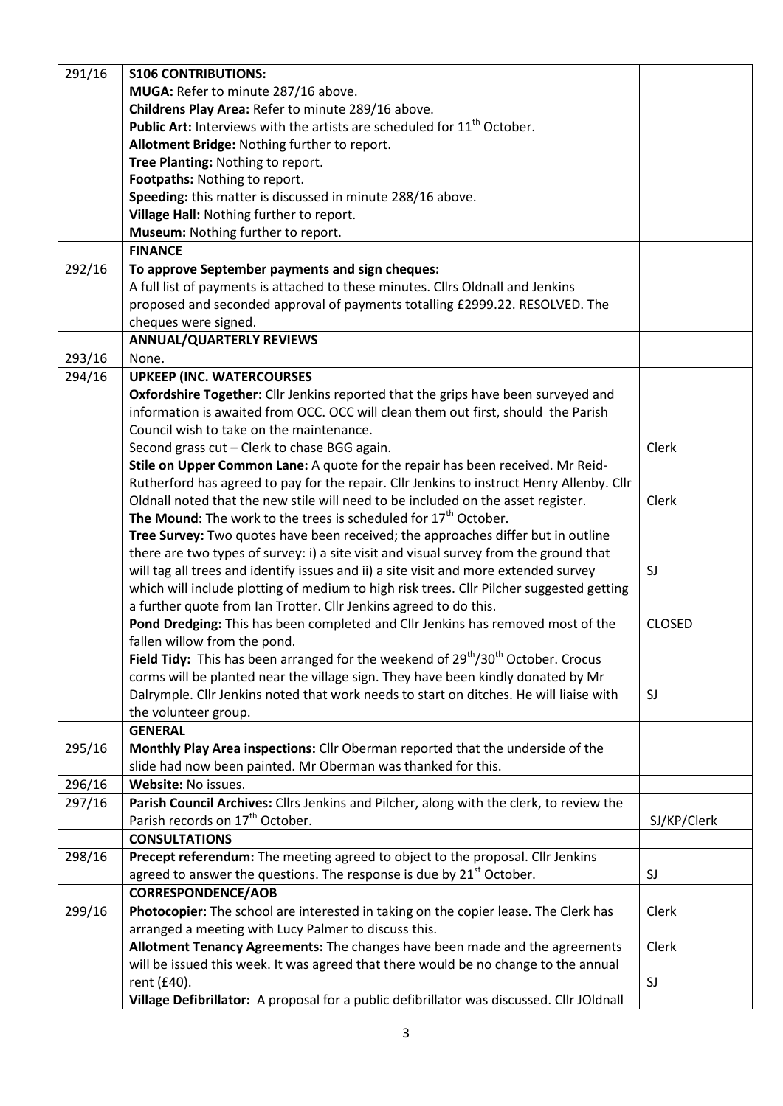| 291/16 | <b>S106 CONTRIBUTIONS:</b>                                                                                                                       |               |
|--------|--------------------------------------------------------------------------------------------------------------------------------------------------|---------------|
|        | MUGA: Refer to minute 287/16 above.                                                                                                              |               |
|        |                                                                                                                                                  |               |
|        | Childrens Play Area: Refer to minute 289/16 above.<br><b>Public Art:</b> Interviews with the artists are scheduled for 11 <sup>th</sup> October. |               |
|        |                                                                                                                                                  |               |
|        | Allotment Bridge: Nothing further to report.                                                                                                     |               |
|        | Tree Planting: Nothing to report.                                                                                                                |               |
|        | Footpaths: Nothing to report.                                                                                                                    |               |
|        | Speeding: this matter is discussed in minute 288/16 above.                                                                                       |               |
|        | Village Hall: Nothing further to report.                                                                                                         |               |
|        | Museum: Nothing further to report.                                                                                                               |               |
|        | <b>FINANCE</b>                                                                                                                                   |               |
| 292/16 | To approve September payments and sign cheques:                                                                                                  |               |
|        | A full list of payments is attached to these minutes. Cllrs Oldnall and Jenkins                                                                  |               |
|        | proposed and seconded approval of payments totalling £2999.22. RESOLVED. The                                                                     |               |
|        | cheques were signed.                                                                                                                             |               |
|        | <b>ANNUAL/QUARTERLY REVIEWS</b>                                                                                                                  |               |
| 293/16 | None.                                                                                                                                            |               |
| 294/16 | <b>UPKEEP (INC. WATERCOURSES)</b>                                                                                                                |               |
|        | Oxfordshire Together: Cllr Jenkins reported that the grips have been surveyed and                                                                |               |
|        | information is awaited from OCC. OCC will clean them out first, should the Parish                                                                |               |
|        | Council wish to take on the maintenance.                                                                                                         |               |
|        | Second grass cut - Clerk to chase BGG again.                                                                                                     | Clerk         |
|        | Stile on Upper Common Lane: A quote for the repair has been received. Mr Reid-                                                                   |               |
|        | Rutherford has agreed to pay for the repair. Cllr Jenkins to instruct Henry Allenby. Cllr                                                        |               |
|        | Oldnall noted that the new stile will need to be included on the asset register.                                                                 | Clerk         |
|        | The Mound: The work to the trees is scheduled for 17 <sup>th</sup> October.                                                                      |               |
|        | Tree Survey: Two quotes have been received; the approaches differ but in outline                                                                 |               |
|        | there are two types of survey: i) a site visit and visual survey from the ground that                                                            |               |
|        | will tag all trees and identify issues and ii) a site visit and more extended survey                                                             | SJ            |
|        | which will include plotting of medium to high risk trees. Cllr Pilcher suggested getting                                                         |               |
|        | a further quote from Ian Trotter. Cllr Jenkins agreed to do this.                                                                                |               |
|        | Pond Dredging: This has been completed and Cllr Jenkins has removed most of the<br>fallen willow from the pond.                                  | <b>CLOSED</b> |
|        | Field Tidy: This has been arranged for the weekend of 29 <sup>th</sup> /30 <sup>th</sup> October. Crocus                                         |               |
|        | corms will be planted near the village sign. They have been kindly donated by Mr                                                                 |               |
|        | Dalrymple. Cllr Jenkins noted that work needs to start on ditches. He will liaise with                                                           | SJ            |
|        | the volunteer group.                                                                                                                             |               |
|        | <b>GENERAL</b>                                                                                                                                   |               |
| 295/16 | Monthly Play Area inspections: Cllr Oberman reported that the underside of the                                                                   |               |
|        | slide had now been painted. Mr Oberman was thanked for this.                                                                                     |               |
| 296/16 | Website: No issues.                                                                                                                              |               |
| 297/16 | Parish Council Archives: Cllrs Jenkins and Pilcher, along with the clerk, to review the                                                          |               |
|        | Parish records on 17 <sup>th</sup> October.                                                                                                      | SJ/KP/Clerk   |
|        | <b>CONSULTATIONS</b>                                                                                                                             |               |
| 298/16 | Precept referendum: The meeting agreed to object to the proposal. Cllr Jenkins                                                                   |               |
|        | agreed to answer the questions. The response is due by 21 <sup>st</sup> October.                                                                 | SJ            |
|        | <b>CORRESPONDENCE/AOB</b>                                                                                                                        |               |
| 299/16 | Photocopier: The school are interested in taking on the copier lease. The Clerk has                                                              | Clerk         |
|        | arranged a meeting with Lucy Palmer to discuss this.                                                                                             |               |
|        | Allotment Tenancy Agreements: The changes have been made and the agreements                                                                      | Clerk         |
|        | will be issued this week. It was agreed that there would be no change to the annual                                                              |               |
|        | rent (£40).                                                                                                                                      | SJ            |
|        | Village Defibrillator: A proposal for a public defibrillator was discussed. Cllr JOldnall                                                        |               |
|        |                                                                                                                                                  |               |